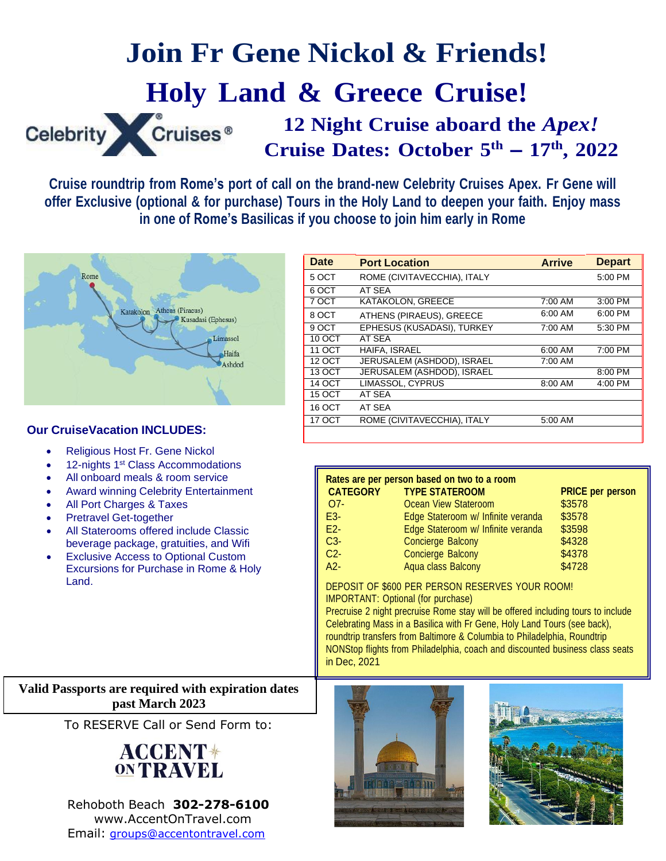# **Join Fr Gene Nickol & Friends! Holy Land & Greece Cruise!**

Celebrity Cruises<sup>®</sup>

**12 Night Cruise aboard the** *Apex!* **Cruise Dates: October 5 th – 17th , 2022**

**Cruise roundtrip from Rome's port of call on the brand-new Celebrity Cruises Apex. Fr Gene will offer Exclusive (optional & for purchase) Tours in the Holy Land to deepen your faith. Enjoy mass in one of Rome's Basilicas if you choose to join him early in Rome**



### **Our CruiseVacation INCLUDES:**

- Religious Host Fr. Gene Nickol
- 12-nights 1<sup>st</sup> Class Accommodations
- All onboard meals & room service
- Award winning Celebrity Entertainment
- All Port Charges & Taxes
- Pretravel Get-together
- All Staterooms offered include Classic beverage package, gratuities, and Wifi
- **Exclusive Access to Optional Custom** Excursions for Purchase in Rome & Holy Land.

| <b>Date</b>   | <b>Port Location</b>        | <b>Arrive</b> | <b>Depart</b> |
|---------------|-----------------------------|---------------|---------------|
| 5 OCT         | ROME (CIVITAVECCHIA), ITALY |               | 5:00 PM       |
| 6 OCT         | AT SEA                      |               |               |
| 7 OCT         | KATAKOLON, GREECE           | 7:00 AM       | 3:00 PM       |
| 8 OCT         | ATHENS (PIRAEUS), GREECE    | 6:00 AM       | 6:00 PM       |
| 9 OCT         | EPHESUS (KUSADASI), TURKEY  | 7:00 AM       | 5:30 PM       |
| 10 OCT        | AT SEA                      |               |               |
| 11 OCT        | <b>HAIFA. ISRAEL</b>        | 6:00 AM       | 7:00 PM       |
| <b>12 OCT</b> | JERUSALEM (ASHDOD), ISRAEL  | 7:00 AM       |               |
| 13 OCT        | JERUSALEM (ASHDOD), ISRAEL  |               | 8:00 PM       |
| <b>14 OCT</b> | LIMASSOL, CYPRUS            | 8:00 AM       | 4:00 PM       |
| 15 OCT        | AT SEA                      |               |               |
| 16 OCT        | AT SEA                      |               |               |
| 17 OCT        | ROME (CIVITAVECCHIA), ITALY | 5:00 AM       |               |
|               |                             |               |               |

|                 | Rates are per person based on two to a room |                         |
|-----------------|---------------------------------------------|-------------------------|
| <b>CATEGORY</b> | <b>TYPE STATEROOM</b>                       | <b>PRICE per person</b> |
| $O7-$           | Ocean View Stateroom                        | \$3578                  |
| E3-             | Edge Stateroom w/ Infinite veranda          | \$3578                  |
| $E2 -$          | Edge Stateroom w/ Infinite veranda          | \$3598                  |
| $C3-$           | <b>Concierge Balcony</b>                    | \$4328                  |
| $C2-$           | <b>Concierge Balcony</b>                    | \$4378                  |
| $A2-$           | Aqua class Balcony                          | \$4728                  |

DEPOSIT OF \$600 PER PERSON RESERVES YOUR ROOM! IMPORTANT: Optional (for purchase)

Precruise 2 night precruise Rome stay will be offered including tours to include Celebrating Mass in a Basilica with Fr Gene, Holy Land Tours (see back), roundtrip transfers from Baltimore & Columbia to Philadelphia, Roundtrip NONStop flights from Philadelphia, coach and discounted business class seats in Dec, 2021

## **Valid Passports are required with expiration dates past March 2023**

To RESERVE Call or Send Form to:

# **ACCENT**\* **ONTRAVEL**

Rehoboth Beach **302-278-6100** [www.AccentOnTravel.com](http://www.accentontravel.us/) Email: [groups@accentontravel.com](mailto:groups@accentontravel.com)



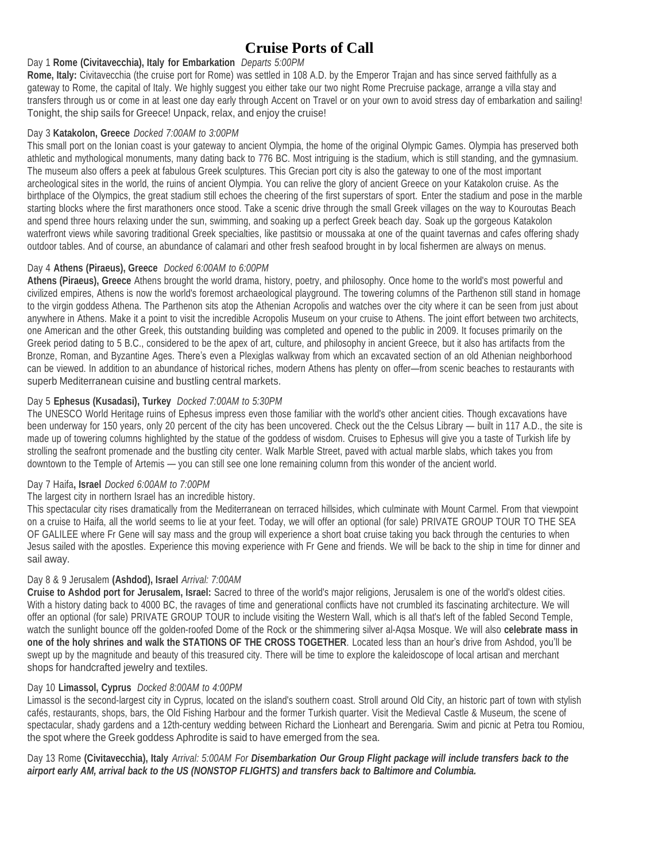# **Cruise Ports of Call**

#### Day 1 **Rome (Civitavecchia), Italy for Embarkation** *Departs 5:00PM*

**Rome, Italy:** Civitavecchia (the cruise port for Rome) was settled in 108 A.D. by the Emperor Trajan and has since served faithfully as a gateway to Rome, the capital of Italy. We highly suggest you either take our two night Rome Precruise package, arrange a villa stay and transfers through us or come in at least one day early through Accent on Travel or on your own to avoid stress day of embarkation and sailing! Tonight, the ship sails for Greece! Unpack, relax, and enjoy the cruise!

#### Day 3 **Katakolon, Greece** *Docked 7:00AM to 3:00PM*

This small port on the Ionian coast is your gateway to ancient Olympia, the home of the original Olympic Games. Olympia has preserved both athletic and mythological monuments, many dating back to 776 BC. Most intriguing is the stadium, which is still standing, and the gymnasium. The museum also offers a peek at fabulous Greek sculptures. This Grecian port city is also the gateway to one of the most important archeological sites in the world, the ruins of ancient Olympia. You can relive the glory of ancient Greece on your Katakolon cruise. As the birthplace of the Olympics, the great stadium still echoes the cheering of the first superstars of sport. Enter the stadium and pose in the marble starting blocks where the first marathoners once stood. Take a scenic drive through the small Greek villages on the way to Kouroutas Beach and spend three hours relaxing under the sun, swimming, and soaking up a perfect Greek beach day. Soak up the gorgeous Katakolon waterfront views while savoring traditional Greek specialties, like pastitsio or moussaka at one of the quaint tavernas and cafes offering shady outdoor tables. And of course, an abundance of calamari and other fresh seafood brought in by local fishermen are always on menus.

#### Day 4 **Athens (Piraeus), Greece** *Docked 6:00AM to 6:00PM*

**Athens (Piraeus), Greece** Athens brought the world drama, history, poetry, and philosophy. Once home to the world's most powerful and civilized empires, Athens is now the world's foremost archaeological playground. The towering columns of the Parthenon still stand in homage to the virgin goddess Athena. The Parthenon sits atop the Athenian Acropolis and watches over the city where it can be seen from just about anywhere in Athens. Make it a point to visit the incredible Acropolis Museum on your cruise to Athens. The joint effort between two architects, one American and the other Greek, this outstanding building was completed and opened to the public in 2009. It focuses primarily on the Greek period dating to 5 B.C., considered to be the apex of art, culture, and philosophy in ancient Greece, but it also has artifacts from the Bronze, Roman, and Byzantine Ages. There's even a Plexiglas walkway from which an excavated section of an old Athenian neighborhood can be viewed. In addition to an abundance of historical riches, modern Athens has plenty on offer—from scenic beaches to restaurants with superb Mediterranean cuisine and bustling central markets.

#### Day 5 **Ephesus (Kusadasi), Turkey** *Docked 7:00AM to 5:30PM*

The UNESCO World Heritage ruins of Ephesus impress even those familiar with the world's other ancient cities. Though excavations have been underway for 150 years, only 20 percent of the city has been uncovered. Check out the the Celsus Library — built in 117 A.D., the site is made up of towering columns highlighted by the statue of the goddess of wisdom. Cruises to Ephesus will give you a taste of Turkish life by strolling the seafront promenade and the bustling city center. Walk Marble Street, paved with actual marble slabs, which takes you from downtown to the Temple of Artemis — you can still see one lone remaining column from this wonder of the ancient world.

#### Day 7 Haifa**, Israel** *Docked 6:00AM to 7:00PM*

#### The largest city in northern Israel has an incredible history.

This spectacular city rises dramatically from the Mediterranean on terraced hillsides, which culminate with Mount Carmel. From that viewpoint on a cruise to Haifa, all the world seems to lie at your feet. Today, we will offer an optional (for sale) PRIVATE GROUP TOUR TO THE SEA OF GALILEE where Fr Gene will say mass and the group will experience a short boat cruise taking you back through the centuries to when Jesus sailed with the apostles. Experience this moving experience with Fr Gene and friends. We will be back to the ship in time for dinner and sail away.

#### Day 8 & 9 Jerusalem **(Ashdod), Israel** *Arrival: 7:00AM*

**Cruise to Ashdod port for Jerusalem, Israel:** Sacred to three of the world's major religions, Jerusalem is one of the world's oldest cities. With a history dating back to 4000 BC, the ravages of time and generational conflicts have not crumbled its fascinating architecture. We will offer an optional (for sale) PRIVATE GROUP TOUR to include visiting the Western Wall, which is all that's left of the fabled Second Temple, watch the sunlight bounce off the golden-roofed Dome of the Rock or the shimmering silver al-Aqsa Mosque. We will also **celebrate mass in one of the holy shrines and walk the STATIONS OF THE CROSS TOGETHER**. Located less than an hour's drive from Ashdod, you'll be swept up by the magnitude and beauty of this treasured city. There will be time to explore the kaleidoscope of local artisan and merchant shops for handcrafted jewelry and textiles.

#### Day 10 **Limassol, Cyprus** *Docked 8:00AM to 4:00PM*

Limassol is the second-largest city in Cyprus, located on the island's southern coast. Stroll around Old City, an historic part of town with stylish cafés, restaurants, shops, bars, the Old Fishing Harbour and the former Turkish quarter. Visit the Medieval Castle & Museum, the scene of spectacular, shady gardens and a 12th-century wedding between Richard the Lionheart and Berengaria. Swim and picnic at Petra tou Romiou, the spot where the Greek goddess Aphrodite is said to have emerged from the sea.

Day 13 Rome (Civitavecchia), Italy Arrival: 5:00AM For Disembarkation Our Group Flight package will include transfers back to the *airport early AM, arrival back to the US (NONSTOP FLIGHTS) and transfers back to Baltimore and Columbia.*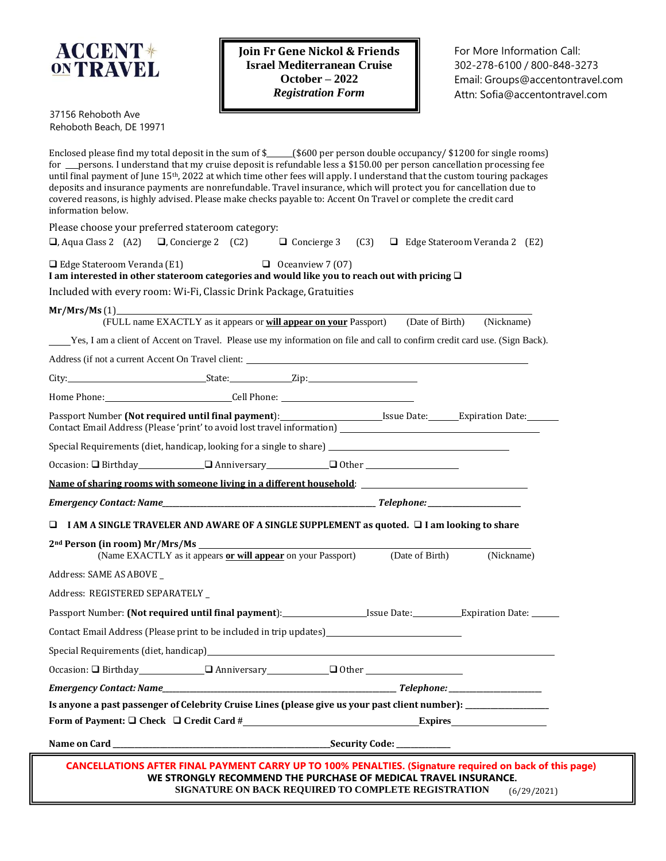

**Join Fr Gene Nickol & Friends Israel Mediterranean Cruise October – 2022** *Registration Form*

37156 Rehoboth Ave Rehoboth Beach, DE 19971

|                                                                                                                                            | Is anyone a past passenger of Celebrity Cruise Lines (please give us your past client number): ___________                                                                                                                          |
|--------------------------------------------------------------------------------------------------------------------------------------------|-------------------------------------------------------------------------------------------------------------------------------------------------------------------------------------------------------------------------------------|
|                                                                                                                                            |                                                                                                                                                                                                                                     |
| Occasion: $\Box$ Birthday $\Box$ Anniversary $\Box$ Other $\Box$                                                                           |                                                                                                                                                                                                                                     |
|                                                                                                                                            |                                                                                                                                                                                                                                     |
|                                                                                                                                            | Contact Email Address (Please print to be included in trip updates)________________________________                                                                                                                                 |
|                                                                                                                                            |                                                                                                                                                                                                                                     |
| Address: REGISTERED SEPARATELY _                                                                                                           |                                                                                                                                                                                                                                     |
| Address: SAME AS ABOVE _                                                                                                                   |                                                                                                                                                                                                                                     |
| 2 <sup>nd</sup> Person (in room) Mr/Mrs/Ms<br>(Name EXACTLY as it appears or will appear on your Passport)                                 | (Date of Birth)<br>(Nickname)                                                                                                                                                                                                       |
|                                                                                                                                            | $\Box$ I AM A SINGLE TRAVELER AND AWARE OF A SINGLE SUPPLEMENT as quoted. $\Box$ I am looking to share                                                                                                                              |
|                                                                                                                                            |                                                                                                                                                                                                                                     |
|                                                                                                                                            | Name of sharing rooms with someone living in a different household:                                                                                                                                                                 |
|                                                                                                                                            |                                                                                                                                                                                                                                     |
|                                                                                                                                            | Special Requirements (diet, handicap, looking for a single to share) ______________________________                                                                                                                                 |
|                                                                                                                                            | Passport Number (Not required until final payment): Issue Date: Expiration Date:<br>Contact Email Address (Please 'print' to avoid lost travel information) ____________________________                                            |
|                                                                                                                                            |                                                                                                                                                                                                                                     |
|                                                                                                                                            |                                                                                                                                                                                                                                     |
|                                                                                                                                            | Address (if not a current Accent On Travel client: <u>second</u> contained by the second of the second of the second of the second of the second of the second of the second of the second of the second of the second of the secon |
|                                                                                                                                            | Yes, I am a client of Accent on Travel. Please use my information on file and call to confirm credit card use. (Sign Back).                                                                                                         |
| (FULL name EXACTLY as it appears or <b>will appear on your</b> Passport)                                                                   | (Date of Birth)<br>(Nickname)                                                                                                                                                                                                       |
| Mr/Mrs/Ms(1)                                                                                                                               |                                                                                                                                                                                                                                     |
| Included with every room: Wi-Fi, Classic Drink Package, Gratuities                                                                         |                                                                                                                                                                                                                                     |
| $\Box$ Edge Stateroom Veranda (E1)<br>I am interested in other stateroom categories and would like you to reach out with pricing $\square$ | $\Box$ Oceanview 7 (07)                                                                                                                                                                                                             |
|                                                                                                                                            | $\Box$ , Aqua Class 2 (A2) $\Box$ , Concierge 2 (C2) $\Box$ Concierge 3 (C3) $\Box$ Edge Stateroom Veranda 2 (E2)                                                                                                                   |
| Please choose your preferred stateroom category:                                                                                           |                                                                                                                                                                                                                                     |
| information below.                                                                                                                         | covered reasons, is highly advised. Please make checks payable to: Accent On Travel or complete the credit card                                                                                                                     |